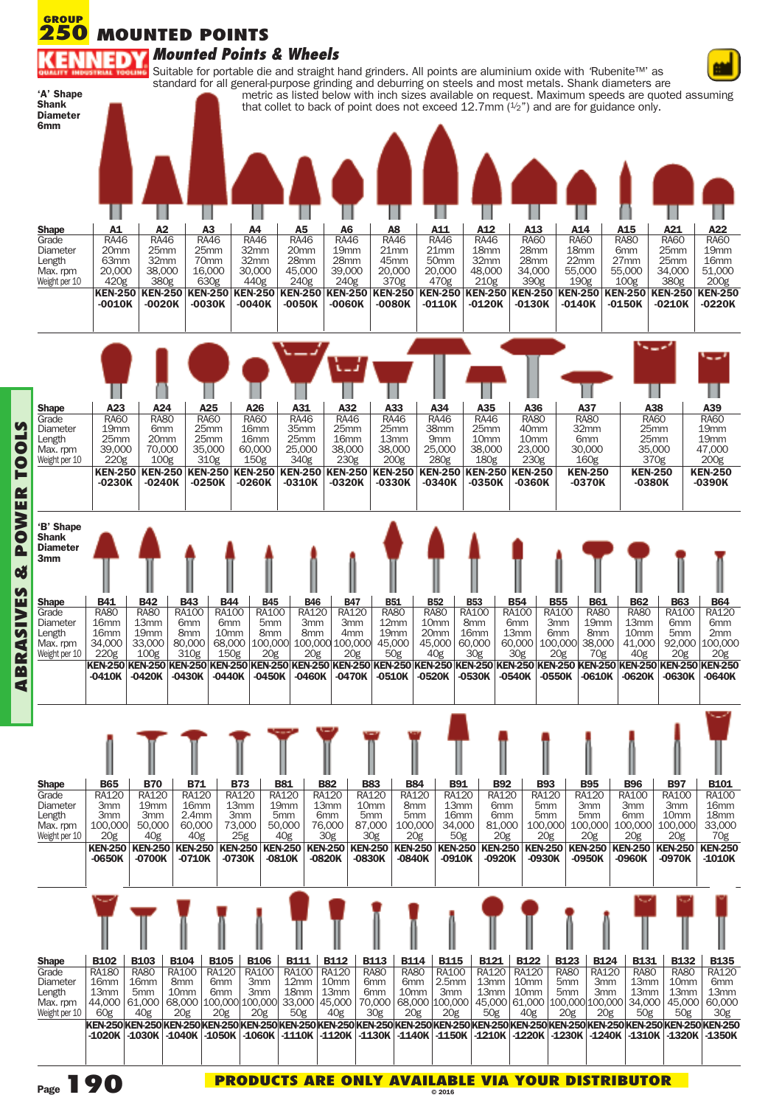| <b>Diameter</b><br>6 <sub>mm</sub>                                                            |                                                                                                                                       |                                                                                                                                                 |                                                                                                                                             |                                                                          |                                                                               | standard for all general-purpose grinding and deburring on steels and most metals. Shank diameters are |                                                                                                                                                 |                                                                                                     |                                                                      |                                                                               |                                                                                                                             | metric as listed below with inch sizes available on request. Maximum speeds are quoted assuming<br>that collet to back of point does not exceed 12.7mm $(1/2)$ and are for guidance only. |                                                                              |                                                                 |
|-----------------------------------------------------------------------------------------------|---------------------------------------------------------------------------------------------------------------------------------------|-------------------------------------------------------------------------------------------------------------------------------------------------|---------------------------------------------------------------------------------------------------------------------------------------------|--------------------------------------------------------------------------|-------------------------------------------------------------------------------|--------------------------------------------------------------------------------------------------------|-------------------------------------------------------------------------------------------------------------------------------------------------|-----------------------------------------------------------------------------------------------------|----------------------------------------------------------------------|-------------------------------------------------------------------------------|-----------------------------------------------------------------------------------------------------------------------------|-------------------------------------------------------------------------------------------------------------------------------------------------------------------------------------------|------------------------------------------------------------------------------|-----------------------------------------------------------------|
|                                                                                               |                                                                                                                                       |                                                                                                                                                 |                                                                                                                                             |                                                                          |                                                                               |                                                                                                        |                                                                                                                                                 |                                                                                                     |                                                                      |                                                                               |                                                                                                                             |                                                                                                                                                                                           |                                                                              |                                                                 |
| <b>Shape</b>                                                                                  | ш<br>A1                                                                                                                               | A2                                                                                                                                              | H<br>A <sub>3</sub>                                                                                                                         | A4                                                                       | <b>A5</b>                                                                     | A <sub>6</sub>                                                                                         | H<br>A8                                                                                                                                         | ш<br>A11                                                                                            | A12                                                                  | ш<br>A <sub>13</sub>                                                          | A14                                                                                                                         | A15                                                                                                                                                                                       | A21                                                                          | A22                                                             |
| Grade                                                                                         | <b>RA46</b>                                                                                                                           | <b>RA46</b>                                                                                                                                     | <b>RA46</b>                                                                                                                                 | <b>RA46</b>                                                              | <b>RA46</b>                                                                   | <b>RA46</b>                                                                                            | <b>RA46</b>                                                                                                                                     | <b>RA46</b><br>21mm                                                                                 | <b>RA46</b>                                                          | <b>RA60</b><br>28mm                                                           | <b>RA60</b>                                                                                                                 | <b>RA80</b>                                                                                                                                                                               | <b>RA60</b>                                                                  | <b>RA60</b><br>19mm                                             |
| Diameter<br>Length                                                                            | 20 <sub>mm</sub><br>63 <sub>mm</sub>                                                                                                  | 25mm<br>32mm                                                                                                                                    | 25mm<br>70mm                                                                                                                                | 32mm<br>32mm                                                             | 20mm<br>28mm                                                                  | 19 <sub>mm</sub><br>28mm                                                                               | 21mm<br>45mm                                                                                                                                    | 50mm                                                                                                | 18 <sub>mm</sub><br>32mm                                             | 28mm                                                                          | 18 <sub>mm</sub><br>22mm                                                                                                    | 6mm<br>27 <sub>mm</sub>                                                                                                                                                                   | 25mm<br>25mm                                                                 | 16 <sub>mm</sub>                                                |
| Max. rpm<br>Weight per 10                                                                     | 20,000<br>420g                                                                                                                        | 38,000<br>380g                                                                                                                                  | 16,000<br>630g                                                                                                                              | 30,000<br>440g                                                           | 45,000<br>240g                                                                | 39,000<br>240g                                                                                         | 20,000<br>370g                                                                                                                                  | 20,000<br>470g                                                                                      | 48,000<br>210g                                                       | 34,000<br>390g                                                                | 55,000<br>190g                                                                                                              | 55,000<br>100 <sub>g</sub>                                                                                                                                                                | 34,000<br>380g                                                               | 51,000<br>200 <sub>g</sub>                                      |
|                                                                                               | <b>KEN-250</b><br>$-0010K$                                                                                                            | $-0020K$                                                                                                                                        | <b>KEN-250 KEN-250</b><br>$-0030K$                                                                                                          | $-0040K$                                                                 | $-0050K$                                                                      | <b>KEN-250 KEN-250 KEN-250</b><br>$-0060K$                                                             | <b>KEN-250</b><br>$-0080K$                                                                                                                      | <b>KEN-250</b><br>$-0110K$                                                                          | $-0120K$                                                             | KEN-250 KEN-250 KEN-250<br>$-0130K$                                           | $-0140K$                                                                                                                    | <b>KEN-250 KEN-250</b><br>$-0150K$                                                                                                                                                        | $-0210K$                                                                     | <b>KEN-250</b><br>$-0220K$                                      |
|                                                                                               |                                                                                                                                       |                                                                                                                                                 |                                                                                                                                             |                                                                          |                                                                               |                                                                                                        |                                                                                                                                                 |                                                                                                     |                                                                      |                                                                               |                                                                                                                             |                                                                                                                                                                                           |                                                                              |                                                                 |
| <b>Shape</b>                                                                                  | A23                                                                                                                                   | A24                                                                                                                                             | A25                                                                                                                                         | A26                                                                      | A31                                                                           | A32                                                                                                    | A33                                                                                                                                             | A34                                                                                                 | A35                                                                  | A36                                                                           | A37                                                                                                                         | $\mathbf{L}$<br>A38                                                                                                                                                                       |                                                                              | A39                                                             |
| Grade<br>Diameter                                                                             | <b>RA60</b><br>19 <sub>mm</sub>                                                                                                       | <b>RA80</b><br>6 <sub>mm</sub>                                                                                                                  | <b>RA60</b><br>25mm                                                                                                                         | <b>RA60</b><br>16 <sub>mm</sub>                                          | <b>RA46</b><br>35mm                                                           | <b>RA46</b><br>25mm                                                                                    | <b>RA46</b><br>25mm                                                                                                                             | <b>RA46</b><br>38mm                                                                                 | <b>RA46</b><br>25mm                                                  | <b>RA80</b><br>40mm                                                           | <b>RA80</b><br>32mm                                                                                                         | <b>RA60</b><br>25mm                                                                                                                                                                       |                                                                              | <b>RA60</b><br>19 <sub>mm</sub>                                 |
| Length<br>Max. rpm                                                                            | 25mm<br>39,000                                                                                                                        | 20 <sub>mm</sub><br>70,000                                                                                                                      | 25mm<br>35,000                                                                                                                              | 16 <sub>mm</sub><br>60,000                                               | 25mm<br>25,000                                                                | 16 <sub>mm</sub><br>38,000                                                                             | 13mm<br>38,000                                                                                                                                  | 9 <sub>mm</sub><br>25,000                                                                           | 10 <sub>mm</sub><br>38,000                                           | 10 <sub>mm</sub><br>23,000                                                    | 6 <sub>mm</sub><br>30,000                                                                                                   | 25mm<br>35,000                                                                                                                                                                            |                                                                              | 19 <sub>mm</sub><br>47,000                                      |
| Weight per 10                                                                                 | 220 <sub>g</sub>                                                                                                                      | 100 <sub>g</sub>                                                                                                                                | 310g                                                                                                                                        | 150 <sub>g</sub>                                                         | 340g                                                                          | 230 <sub>g</sub>                                                                                       | 200 <sub>g</sub>                                                                                                                                | 280g                                                                                                | 180g                                                                 | 230g                                                                          | 160g                                                                                                                        | 370g                                                                                                                                                                                      |                                                                              | 200 <sub>g</sub>                                                |
|                                                                                               | <b>KEN-250</b><br>$-0230K$                                                                                                            | <b>KEN-250</b><br>$-0240K$                                                                                                                      | <b>KEN-250</b><br>$-0250K$                                                                                                                  | <b>KEN-250</b><br>$-0260K$                                               | $-0310K$                                                                      | <b>KEN-250 KEN-250</b><br>-0320K                                                                       | <b>KEN-250</b><br>-0330K                                                                                                                        | <b>KEN-250</b><br>$-0340K$                                                                          | <b>KEN-250</b><br>$-0350K$                                           | <b>KEN-250</b><br>-0360K                                                      | <b>KEN-250</b><br>$-0370K$                                                                                                  | <b>KEN-250</b><br>$-0380K$                                                                                                                                                                |                                                                              | <b>KEN-250</b><br>$-0390K$                                      |
| <b>Diameter</b><br>3 <sub>mm</sub><br><b>Shape</b><br>Grade<br>Diameter<br>Length<br>Max. rpm | <b>B41</b><br><b>RA80</b><br>16 <sub>mm</sub><br>16 <sub>mm</sub><br>34,000                                                           | <b>B42</b><br><b>RA80</b><br>13 <sub>mm</sub><br>19mm<br>33,000                                                                                 | <b>B43</b><br><b>B44</b><br>RA100<br>RA100<br>6 <sub>mm</sub><br>6 <sub>mm</sub><br>10 <sub>mm</sub><br>8 <sub>mm</sub><br>80,000<br>68,000 | <b>B45</b><br>RA100<br>5mm<br>8mm<br>100,000                             | <b>B46</b><br>RA120<br>3mm<br>8mm                                             | <b>B47</b><br>RA120<br>3mm<br>4mm<br>100,000 100,000                                                   | <b>B51</b><br><b>RA80</b><br>12mm<br>19 <sub>mm</sub><br>45,000                                                                                 | <b>B52</b><br><b>RA80</b><br>10 <sub>mm</sub><br>20mm<br>45,000                                     | <b>B53</b><br>RA100<br>8 <sub>mm</sub><br>16 <sub>mm</sub><br>60,000 | <b>B54</b><br>RA100<br>6 <sub>mm</sub><br>13mm<br>60,000   100,000            | <b>B55</b><br><b>B61</b><br>RA100<br><b>RA80</b><br>3 <sub>mm</sub><br>19 <sub>mm</sub><br>6 <sub>mm</sub><br>8mm<br>38,000 | <b>B62</b><br><b>RA80</b><br>13 <sub>mm</sub><br>10 <sub>mm</sub><br>41,000                                                                                                               | <b>B63</b><br>RA100<br>6mm<br>5 <sub>mm</sub><br>92,000                      | <b>B64</b><br>RA120<br>6mm<br>2mm<br>100,000                    |
| Weight per 10                                                                                 | 220 <sub>g</sub><br>KEN-250 KEN-250 KEN-250 KEN-250 KEN-250 KEN-250 KEN-250 KEN-250 KEN-250 KEN-250 KEN-250 KEN-250 KEN-250<br>-0410K | 100 <sub>g</sub><br>-0420K                                                                                                                      | 310g<br>150 <sub>g</sub><br>-0430K<br>-0440K                                                                                                | 20 <sub>g</sub><br>-0450K                                                | 20 <sub>g</sub><br>-0460K                                                     | 20 <sub>g</sub><br>-0470K                                                                              | 50g<br>$-0510K$                                                                                                                                 | 40g<br>$-0520K$                                                                                     | 30g<br>$-0530K$                                                      | 30g<br>-0540K                                                                 | 20 <sub>g</sub><br>70g<br><b>KEN-250</b><br>-0550K<br>-0610K                                                                | 40g<br>KEN-250 KEN-250 KEN-250<br>$-0620K$                                                                                                                                                | 20 <sub>g</sub><br>-0630K                                                    | 20 <sub>g</sub><br>-0640K                                       |
| <b>Shape</b><br>Grade<br>Diameter                                                             | <b>B65</b><br>RA120<br>3mm                                                                                                            | <b>B70</b><br>RA120<br>19 <sub>mm</sub>                                                                                                         | B71<br><b>RA120</b><br>16 <sub>mm</sub>                                                                                                     | <b>B73</b><br><b>RA120</b><br>13mm                                       | <b>B81</b><br><b>RA120</b><br>19 <sub>mm</sub>                                | <b>B82</b><br><b>RA120</b><br>13 <sub>mm</sub>                                                         | <b>B83</b><br><b>RA120</b><br><b>RA120</b><br>10 <sub>mm</sub><br>8 <sub>mm</sub>                                                               | <b>B84</b><br><b>B91</b><br>RA120<br>13 <sub>mm</sub>                                               | <b>B92</b><br>RA120<br>6mm                                           | <b>B93</b><br>RA120<br>5mm                                                    | <b>B95</b><br>RA120<br>3mm                                                                                                  | <b>B96</b><br><b>RA100</b><br>3 <sub>mm</sub>                                                                                                                                             | <b>B97</b><br>RA100<br>3mm                                                   | <b>B101</b><br><b>RA100</b><br>16 <sub>mm</sub>                 |
| Length<br>Max. rpm<br>Weight per 10                                                           | 3mm<br>100,000<br>20 <sub>g</sub><br><b>KEN-250</b><br>-0650K                                                                         | 3mm<br>50,000<br>40 <sub>g</sub><br><b>KEN-250</b><br>-0700K                                                                                    | 2.4 <sub>mm</sub><br>60,000<br>40g<br><b>KEN-250</b><br>-0710K                                                                              | 3 <sub>mm</sub><br>73,000<br>25g<br><b>KEN-250</b><br>-0730K             | 5 <sub>mm</sub><br>50,000<br>40 <sub>g</sub><br><b>KEN-250</b><br>-0810K      | 6 <sub>mm</sub><br>76,000<br>30g<br><b>KEN-250</b><br>-0820K                                           | 5 <sub>mm</sub><br>100,000<br>87,000<br>30g<br><b>KEN-250</b><br><b>KEN-250</b><br>-0840K<br>-0830K                                             | 5mm<br>16 <sub>mm</sub><br>34,000<br>20 <sub>g</sub><br>50 <sub>g</sub><br><b>KEN-250</b><br>-0910K | 6mm<br>81,000<br>20 <sub>g</sub><br><b>KEN-250</b><br>-0920K         | 5mm<br>100,000<br>20 <sub>g</sub><br><b>KEN-250</b><br>-0930K                 | 5mm<br>100,000<br>20 <sub>g</sub><br><b>KEN-250</b><br>-0950K                                                               | 6mm<br>100,000<br>20g<br><b>KEN-250</b><br>-0960K                                                                                                                                         | 10mm<br>100,000<br>20 <sub>g</sub><br><b>KEN-250</b><br>-0970K               | 18 <sub>mm</sub><br>33,000<br>70g<br><b>KEN-250</b><br>$-1010K$ |
|                                                                                               |                                                                                                                                       |                                                                                                                                                 |                                                                                                                                             |                                                                          |                                                                               |                                                                                                        |                                                                                                                                                 |                                                                                                     |                                                                      |                                                                               |                                                                                                                             |                                                                                                                                                                                           |                                                                              |                                                                 |
| <b>Shape</b><br>Grade<br>Diameter<br>Length<br>Max. rpm                                       | <b>B102</b><br>RA180<br>16 <sub>mm</sub><br>13 <sub>mm</sub><br>44,000                                                                | <b>B103</b><br><b>B104</b><br><b>RA80</b><br><b>RA100</b><br>16 <sub>mm</sub><br>8 <sub>mm</sub><br>10mm<br>5 <sub>mm</sub><br>61,000<br>68,000 | <b>B105</b><br>RA120<br>6 <sub>mm</sub><br>6 <sub>mm</sub>                                                                                  | <b>B106</b><br><b>RA100</b><br>3 <sub>mm</sub><br>3mm<br>100,000 100,000 | <b>B111</b><br><b>RA100</b><br>12 <sub>mm</sub><br>18 <sub>mm</sub><br>33,000 | <b>B112</b><br>RA120<br>10 <sub>mm</sub><br>13mm<br>45,000                                             | <b>B113</b><br><b>B114</b><br><b>RA80</b><br><b>RA80</b><br>6 <sub>mm</sub><br>6 <sub>mm</sub><br>10 <sub>mm</sub><br>6 <sub>mm</sub><br>70,000 | <b>B115</b><br><b>RA100</b><br>2.5mm<br>3 <sub>mm</sub><br>68,000 100,000                           | <b>B121</b><br>RA120<br>13 <sub>mm</sub><br>13 <sub>mm</sub>         | <b>B122</b><br>RA120<br>10 <sub>mm</sub><br>10 <sub>mm</sub><br>45,000 61,000 | <b>B123</b><br><b>RA80</b><br>5 <sub>mm</sub><br>5 <sub>mm</sub><br>100,000 100,000                                         | <b>B131</b><br><b>B124</b><br><b>RA80</b><br>RA120<br>13mm<br>3 <sub>mm</sub><br>3 <sub>mm</sub><br>13mm<br>34,000                                                                        | <b>B132</b><br><b>RA80</b><br>10 <sub>mm</sub><br>13 <sub>mm</sub><br>45,000 | <b>B135</b><br>RA120<br>6mm<br>13mm<br>60,000                   |
| Weight per 10                                                                                 | 60 <sub>g</sub>                                                                                                                       | 40g<br>20g                                                                                                                                      | 20g                                                                                                                                         | 20g                                                                      | 50g                                                                           | 40g                                                                                                    | 30 <sub>g</sub><br>20g                                                                                                                          | 20g                                                                                                 | 50g                                                                  | 40g                                                                           | 20g                                                                                                                         | 20g<br>50g<br>KEN-250 KEN-250 KEN-250 KEN-250 KEN-250 KEN-250 KEN-250 KEN-250 KEN-250 KEN-250 KEN-250 KEN-250 KEN-250 KEN-250 KEN-250 KEN-250 KEN-250                                     | 50g                                                                          | 30g                                                             |